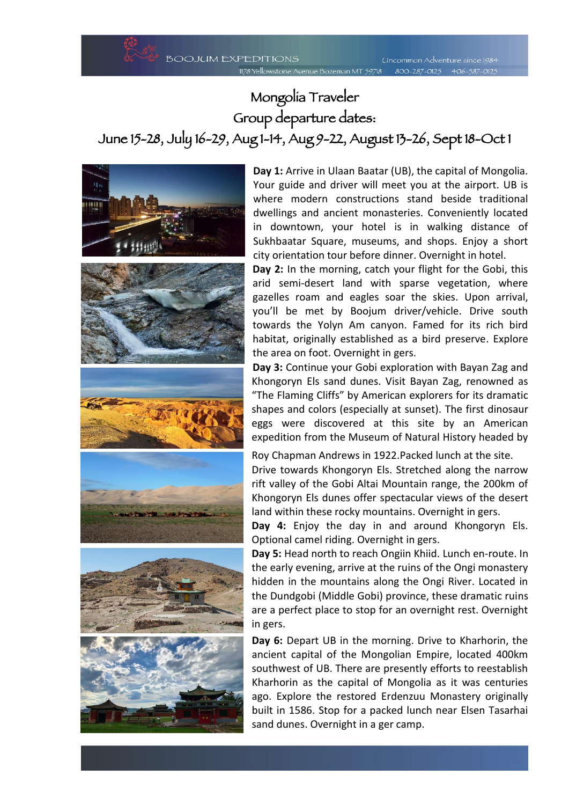## Mongolia Traveler Group departure dates: June 15-28, July 16-29, Aug 1-14, Aug 9-22, August 13-26, Sept 18-Oct 1



**Day 1:** Arrive in Ulaan Baatar (UB), the capital of Mongolia. Your guide and driver will meet you at the airport. UB is where modern constructions stand beside traditional dwellings and ancient monasteries. Conveniently located in downtown, your hotel is in walking distance of Sukhbaatar Square, museums, and shops. Enjoy a short city orientation tour before dinner. Overnight in hotel.

**Day 2:** In the morning, catch your flight for the Gobi, this arid semi-desert land with sparse vegetation, where gazelles roam and eagles soar the skies. Upon arrival, you'll be met by Boojum driver/vehicle. Drive south towards the Yolyn Am canyon. Famed for its rich bird habitat, originally established as a bird preserve. Explore the area on foot. Overnight in gers.

**Day 3:** Continue your Gobi exploration with Bayan Zag and Khongoryn Els sand dunes. Visit Bayan Zag, renowned as "The Flaming Cliffs" by American explorers for its dramatic shapes and colors (especially at sunset). The first dinosaur eggs were discovered at this site by an American expedition from the Museum of Natural History headed by

Roy Chapman Andrews in 1922.Packed lunch at the site. Drive towards Khongoryn Els. Stretched along the narrow rift valley of the Gobi Altai Mountain range, the 200km of Khongoryn Els dunes offer spectacular views of the desert land within these rocky mountains. Overnight in gers.

**Day 4:** Enjoy the day in and around Khongoryn Els. Optional camel riding. Overnight in gers.

**Day 5:** Head north to reach Ongiin Khiid. Lunch en-route. In the early evening, arrive at the ruins of the Ongi monastery hidden in the mountains along the Ongi River. Located in the Dundgobi (Middle Gobi) province, these dramatic ruins are a perfect place to stop for an overnight rest. Overnight in gers.

**Day 6:** Depart UB in the morning. Drive to Kharhorin, the ancient capital of the Mongolian Empire, located 400km southwest of UB. There are presently efforts to reestablish Kharhorin as the capital of Mongolia as it was centuries ago. Explore the restored Erdenzuu Monastery originally built in 1586. Stop for a packed lunch near Elsen Tasarhai sand dunes. Overnight in a ger camp.